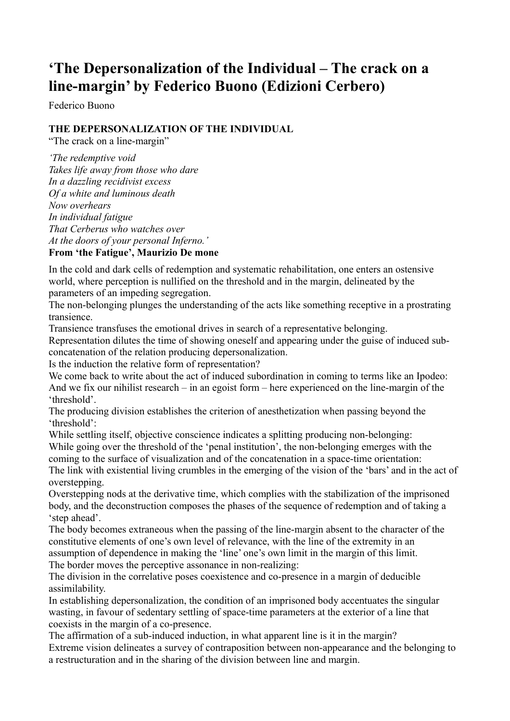## **'The Depersonalization of the Individual – The crack on a line-margin' by Federico Buono (Edizioni Cerbero)**

Federico Buono

## **THE DEPERSONALIZATION OF THE INDIVIDUAL**

"The crack on a line-margin"

*'The redemptive void Takes life away from those who dare In a dazzling recidivist excess Of a white and luminous death Now overhears In individual fatigue That Cerberus who watches over At the doors of your personal Inferno.'*

## **From 'the Fatigue', Maurizio De mone**

In the cold and dark cells of redemption and systematic rehabilitation, one enters an ostensive world, where perception is nullified on the threshold and in the margin, delineated by the parameters of an impeding segregation.

The non-belonging plunges the understanding of the acts like something receptive in a prostrating transience.

Transience transfuses the emotional drives in search of a representative belonging.

Representation dilutes the time of showing oneself and appearing under the guise of induced subconcatenation of the relation producing depersonalization.

Is the induction the relative form of representation?

We come back to write about the act of induced subordination in coming to terms like an Ipodeo: And we fix our nihilist research – in an egoist form – here experienced on the line-margin of the 'threshold'.

The producing division establishes the criterion of anesthetization when passing beyond the 'threshold':

While settling itself, objective conscience indicates a splitting producing non-belonging: While going over the threshold of the 'penal institution', the non-belonging emerges with the coming to the surface of visualization and of the concatenation in a space-time orientation:

The link with existential living crumbles in the emerging of the vision of the 'bars' and in the act of overstepping.

Overstepping nods at the derivative time, which complies with the stabilization of the imprisoned body, and the deconstruction composes the phases of the sequence of redemption and of taking a 'step ahead'.

The body becomes extraneous when the passing of the line-margin absent to the character of the constitutive elements of one's own level of relevance, with the line of the extremity in an assumption of dependence in making the 'line' one's own limit in the margin of this limit. The border moves the perceptive assonance in non-realizing:

The division in the correlative poses coexistence and co-presence in a margin of deducible assimilability.

In establishing depersonalization, the condition of an imprisoned body accentuates the singular wasting, in favour of sedentary settling of space-time parameters at the exterior of a line that coexists in the margin of a co-presence.

The affirmation of a sub-induced induction, in what apparent line is it in the margin? Extreme vision delineates a survey of contraposition between non-appearance and the belonging to a restructuration and in the sharing of the division between line and margin.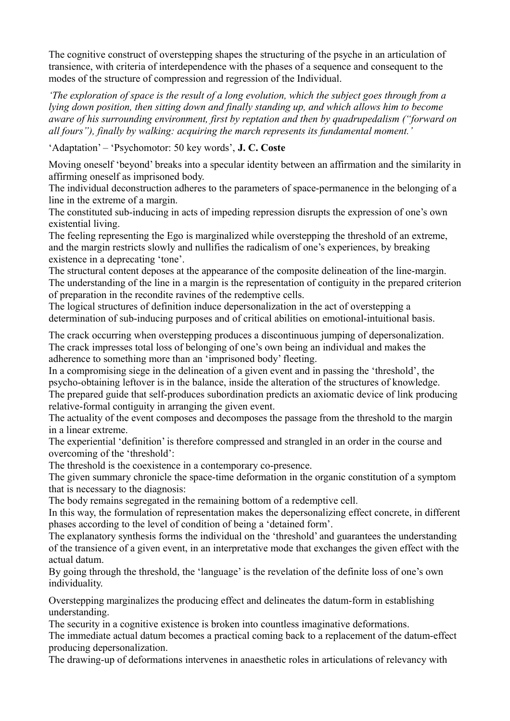The cognitive construct of overstepping shapes the structuring of the psyche in an articulation of transience, with criteria of interdependence with the phases of a sequence and consequent to the modes of the structure of compression and regression of the Individual.

*'The exploration of space is the result of a long evolution, which the subject goes through from a lying down position, then sitting down and finally standing up, and which allows him to become aware of his surrounding environment, first by reptation and then by quadrupedalism ("forward on all fours"), finally by walking: acquiring the march represents its fundamental moment.'*

'Adaptation' – 'Psychomotor: 50 key words', **J. C. Coste**

Moving oneself 'beyond' breaks into a specular identity between an affirmation and the similarity in affirming oneself as imprisoned body.

The individual deconstruction adheres to the parameters of space-permanence in the belonging of a line in the extreme of a margin.

The constituted sub-inducing in acts of impeding repression disrupts the expression of one's own existential living.

The feeling representing the Ego is marginalized while overstepping the threshold of an extreme, and the margin restricts slowly and nullifies the radicalism of one's experiences, by breaking existence in a deprecating 'tone'.

The structural content deposes at the appearance of the composite delineation of the line-margin. The understanding of the line in a margin is the representation of contiguity in the prepared criterion of preparation in the recondite ravines of the redemptive cells.

The logical structures of definition induce depersonalization in the act of overstepping a determination of sub-inducing purposes and of critical abilities on emotional-intuitional basis.

The crack occurring when overstepping produces a discontinuous jumping of depersonalization. The crack impresses total loss of belonging of one's own being an individual and makes the adherence to something more than an 'imprisoned body' fleeting.

In a compromising siege in the delineation of a given event and in passing the 'threshold', the psycho-obtaining leftover is in the balance, inside the alteration of the structures of knowledge. The prepared guide that self-produces subordination predicts an axiomatic device of link producing relative-formal contiguity in arranging the given event.

The actuality of the event composes and decomposes the passage from the threshold to the margin in a linear extreme.

The experiential 'definition' is therefore compressed and strangled in an order in the course and overcoming of the 'threshold':

The threshold is the coexistence in a contemporary co-presence.

The given summary chronicle the space-time deformation in the organic constitution of a symptom that is necessary to the diagnosis:

The body remains segregated in the remaining bottom of a redemptive cell.

In this way, the formulation of representation makes the depersonalizing effect concrete, in different phases according to the level of condition of being a 'detained form'.

The explanatory synthesis forms the individual on the 'threshold' and guarantees the understanding of the transience of a given event, in an interpretative mode that exchanges the given effect with the actual datum.

By going through the threshold, the 'language' is the revelation of the definite loss of one's own individuality.

Overstepping marginalizes the producing effect and delineates the datum-form in establishing understanding.

The security in a cognitive existence is broken into countless imaginative deformations.

The immediate actual datum becomes a practical coming back to a replacement of the datum-effect producing depersonalization.

The drawing-up of deformations intervenes in anaesthetic roles in articulations of relevancy with